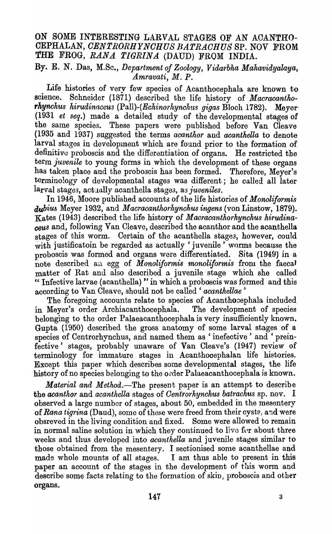# ON SOME INTERESTING LARVAL STAGES OF AN ACANTHO-CEPHALAN, CENTRORHYNCHUS BATRACHUS SP. NOV FROM THE FROG, RANA TIGRINA (DAUD) FROM INDIA.

## By. E. N. Das, M.Sc., Department of Zoology, Vidarbha Mahavidyalaya, Amravati, M.P.

Life histories of very few species of Acanthocephala are known to science. Schneider (1871) described the life history of Macracanthorhynchus hirudinaceus (Pall)-(Echinorhynchus gigas Bloch 1782). Mever (1931 et seq.) made a detailed study of the developmental stages of the same species. These papers were published before Van Cleave (1935 and 1937) suggested the terms acanthor and acanthella to denote larval stages in development which are found prior to the formation of definitive proboscis and the differentiation of organs. He restricted the term juvenile to young forms in which the development of these organs has taken place and the proboscis has been formed. Therefore, Meyer's terminology of developmental stages was different; he called all later larval stages, actually acanthella stages, as juveniles.

In 1946, Moore published accounts of the life histories of Monoliformis *dubius* Meyer 1932, and *Macracanthorhynchus ingens* (von Linstow, 1879). Kates (1943) described the life history of Macracanthorhynchus hirudinaceus and, following Van Cleave, described the acanthor and the acanthella stages of this worm. Certain of the acanthella stages, however, could with justificatoin be regarded as actually 'juvenile' worms because the proboscis was formed and organs were differentiated. Sita (1949) in a note described an egg of Monoliformis monoliformis from the faecal matter of Rat and also described a juvenile stage which she called "Infective larvae (acanthella)" in which a proboscis was formed and this according to Van Cleave, should not be called 'acanthellae'

The foregoing accounts relate to species of Acanthoeephala included in Meyer's order Archiacanthocephala. The development of species belonging to the order Palaeacanthocephala is very insufficiently known. Gupta (1950) described the gross anatomy of some larval stages of a species of Centrorhynchus, and named them as 'inefective' and 'preinfective' stages, probably unaware of Van Cleave's (1947) review of terminology for immature stages in Acanthocephalan life histories. Except this paper which describes some developmental stages, the life history of no species belonging to the order Palaeacanthocephala is known.

*Material and Method.*—The present paper is an attempt to describe the acanthor and acanthella stages of Centrorhynchus batrachus sp. nov. I observed a large number of stages, about 50, embedded in the mesentery of Rana tigrina (Daud), some of these were freed from their cysts, and were obsreved in the living condition and fixed. Some were allowed to remain in normal saline solution in which they continued to live for about three weeks and thus developed into *acanthella* and juvenile stages similar to those obtained from the mesentery. I sectionised some acanthellae and made whole mounts of all stages. I am thus able to present in this paper an account of the stages in the development of this worm and describe some facts relating to the formation of skin, proboscis and other organs.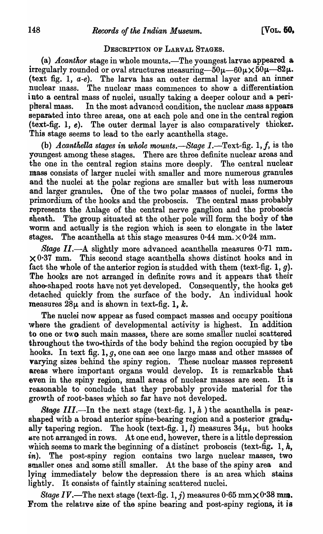### DESCRIPTION OF LARVAL STAGES.

(a) *Acanthor* stage in whole mounts.—The youngest larvae appeared a irregularly rounded or oval structures measuring— $50\mu-60\mu\times50\mu-82\mu$ . (text fig. 1, a-e). The larva has an outer dermal layer and an inner nuclear mass. The nuclear mass commences to show a differentiation into a central mass of nuclei, usually taking a deeper colour and a peripheral mass. In the most advanced condition, the nuclear mass appears separated into three areas, one at each pole and one in the central region (text-fig. 1, e). The outer dermal layer is also comparatively thicker. This stage seems to lead to the early acanthella stage.

(b) *Acanthella stages in whole mounts.*— $Stage 1$ .—Text-fig. 1,  $f$ , is the youngest among these stages. There are three definite nuclear areas and the one in the central region stains more deeply. The central nuclear mass consists of larger nuclei with smaller and more numerous granules and the nuclei at the polar regions are smaller but with less numerous and larger granules. One of the two polar masses of nuclei, forms the primordium of the hooks and the proboscis. The central mass probably represents the Anlage of the central nerve ganglion and the proboscis sheath. The group situated at the other pole will form the body of the worm and actually is the region which is seen to elongate in the later stages. The acanthella at this stage measures  $0.44$  mm.  $\times 0.24$  mm.

Stage II.--A slightly more advanced acanthella measures  $0.71$  mm.  $\times$  0.37 mm. This second stage acanthella shows distinct hooks and in fact the whole of the anterior region is studded with them (text-fig.  $1, g$ ). The hooks are not arranged in definite rows and it appears that their shoe-shaped roots have not yet developed. Consequently, the hooks get detached quickly from the surface of the body. An individual hook measures  $28\mu$  and is shown in text-fig. 1, k.

The nuclei now appear as fused compact masses and occupy positions where the gradient of developmental activity is highest. In addition to one or two such main masses, there are some smaller nuclei scattered throughout the two-thirds of the body behind the region occupied by the hooks. In text fig. 1, g, one can see one large mass and other masses of varying sizes behind the spiny region. These nuclear masses represent areas where important organs would develop. It is remarkable that even in the spiny region, small areas of nuclear masses are seen. It is reasonable to conclude that they probably provide material for the growth of root-bases which so far have not developed.

Stage III.—In the next stage (text-fig. 1,  $h$ ) the acanthella is pearshaped with a broad anterior spine-bearing region and a posterior gradually tapering region. The hook (text-fig. 1, l) measures  $34\mu$ , but hooks are not arranged in rows. At one end, however, there is a little depression which seems to mark the beginning of a distinct proboscis (text-fig. 1,  $h$ , in). The post-spiny region contains two large nuclear masses, two smaller ones and some still smaller. At the base of the spiny area and lying immediately below the depression there is an area which stains lightly. It consists of faintly staining scattered nuclei.

*Stage IV*.—The next stage (text-fig. 1, j) measures  $0.65$  mm $\times$   $0.38$  mm. From the relative size of the spine bearing and post-spiny regions, it is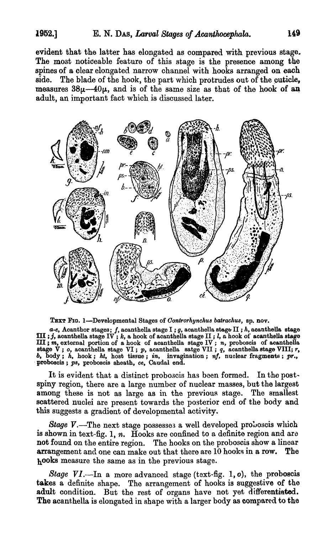evident that the latter has elongated as compared with previous stage. The most noticeable feature of this stage is the presence among the spines of a clear elongated narrow channel with hooks arranged on each side. The blade of the hook, the part which protrudes out of the cuticle, measures  $38\mu-40\mu$ , and is of the same size as that of the hook of an adult, an important fact which is discussed later.



TEXT FIG. I-Developmental Stages of *Oontrorhynchu8 batrach'U8,* sp. nov.

 $\boldsymbol{a}$ -e, Acanthor stages;  $f$ , acanthella stage I ;  $g$ , acanthella stage II ;  $h$ , acanth<mark>ella sta</mark>ge m ; *j*, acanthella stages; *j*, acanthella stage 1; *j*, acanthella stage II; *l*, a hook of acanthella stage III; *l*, a hook of acanthella stage m; *m,* external portion of a. hook of aoanthella stage IV; *'n,* probosois of acanthella stage V; *o*, acanthella stage VI; *p*, acanthella satge VII; *q*, acanthella stage VIII; *r*, *b*, **body**; *h*, hook; *ht*, host tissue; *in*, invagination; *nf*, nuclear fragments; pr., proboscis; ps, proboscis sheath, ce, Caudal end.

It is evident that a distinct proboscis has been formed. In the postspiny region, there are a large number of nuclear masses, but the largest among these is not as large as in the previous stage. The smallest scattered nuclei are present towards the posterior end of the body and this suggests a gradient of developmental activity.

*Stage V.*-The next stage possesses a well developed proboscis which is shown in text-fig. 1, *n.* Hooks are confined to a definite region and are not found on the entire region. The hooks on the proboscis show a linear arrangement and one can make out that there are  $10$  hooks in a row. The hooks measure the same as in the previous stage.

*Stage VI.*—In a more advanced stage (text-fig. 1, o), the proboscis takes a definite shape. The arrangement of hooks is suggestive of the adult condition. But the rest of organs have not yet differentiated. The acanthella is elongated in shape with a larger body as compared to the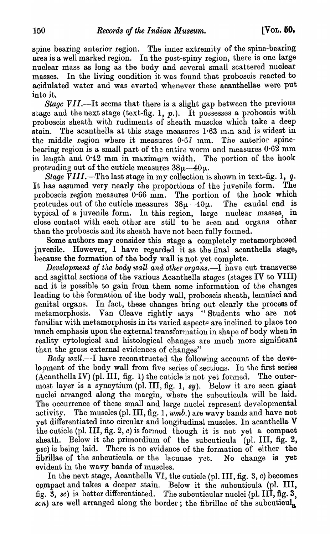spine bearing anterior region. The inner extremity of the spine-bearing area is a well marked region. In the post-spiny region, there is one large nuclear mass as long as the body and several small scattered nuclear masses. In the living condition it was found that proboscis reacted to -acidulated water and was everted whenever these acanthellae were put into it.

*Stage VII*.—It seems that there is a slight gap between the previous stage and the next stage (text-fig. 1,  $p$ .). It possesses a proboscis with proboscis sheath with rudiments of sheath muscles which take a deep stain. The acanthella at this stage measures  $1.63$  mm and is widest in the middle region where it measures  $0.67$  mm. The anterior spinebearing region is a small part of the entire worm and measures  $0.62$  mm in length and  $0.42$  mm in maximum width. The portion of the hook protruding out of the cuticle measures  $38\mu-40\mu$ .

*Stage VIII.-The* last stage in my collection is shown in text-fig. 1, *q.*  It has assumed very nearly the proportions of the juvenile form. The proboscis region measures 0·66 mm. The portion of the hook which protrudes out of the cuticle measures  $38\mu-40\mu$ . The caudal end is typical of a juvenile form. In this region, large nuclear masses, in close contact with each other are still to be seen and organs other than the proboscis and its sheath have not been fully formed.

Some authors may consider this stage a completely metamorphosed juvenile. However, I have regarded it as the final acanthella stage, because the formation of the body wall is not yet complete.

*Development of the body wall and other organs.*—I have cut transverse and sagittal sections of the various Acanthella stages (stages IV to VIII) and it is possible to gain from them some information of the changes leading to the formation of the body wall, proboscis sheath, lemnisci and genital organs. In fact, these changes bring out clearly the process of metamorphosis. Van Cleave rightly says "Students who are not familiar with metamorphosis in its varied aspects are inclined to place too much emphasis upon the external transformation in shape of body when in reality cytological and histological changes are much more significant than the gross external evidences of changes"

*Body wall.*—I have reconstructed the following account of the development of the body wall from five series of sections. In the first series (Acanthella IV) (pI. III, fig. 1) the cuticle is not yet formed. The outermost layer is a syncytium (pl. III, fig. 1, sy). Below it are seen giant nuclei arranged along the margin, where the subcuticula will be laid. The occurrence of these small and large nuclei represent developmental activity. The muscles (pl. III, fig. 1,  $wmb$ ) are wavy bands and have not yet differentiated into circular and longitudinal muscles. In acanthella  $V$ the cuticle (pl. III, fig.  $2$ ,  $c$ ) is formed though it is not yet a compact sheath. Below it the primordium of the subcuticula (pl. III, fig.  $2$ , *pse)* is being laid. There is no evidence of the formation of either the fibrillae of the subcuticula or the lacunae yet. No change is yet evident in the wavy bands of muscles.

In the next stage, Acanthella VI, the cuticle (pl. III, fig. 3, c) becomes compact and takes a deeper stain. Below it the subcuticula (pl. III, fig. 3, *se)* is better differentiated. The subcuticular nuclei (pI. III, fig. 3, *scn*) are well arranged along the border; the fibrillae of the subcuticula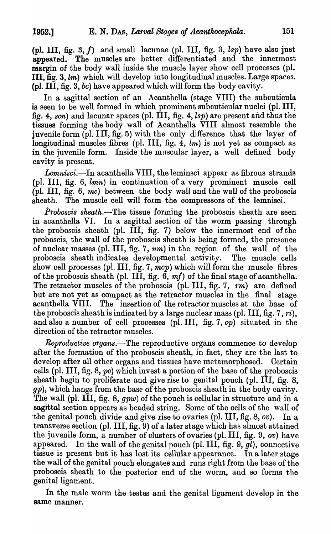(pI. III, fig. 3, *f)* and small lacunae (pI. III, fig. 3, *lsp)* have also just appeared. The muscles are better differentiated and the innermost margin of the body wall inside the muscle layer show cell processes (pI. III, fig. 3, lm) which will develop into longitudinal muscles. Large spaces. (pI. III, fig. 3, be) have appeared which will form the body cavity.

In a sagittal section of an Acanthella (stage VIII) the subcuticula is seen to be well formed in which prominent subcuticular nuclei (pI. III, fig. 4, *sen)* and lacunar spaces (pI. III, fig. 4, *lsp)* are present and thus the tissues forming the body wall of Acanthella VIII almost resemble the juvenile form (pI. III, fig. 5) with the only difference that the layer of longitudinal muscles fibres (pl. III, fig.  $4$ ,  $lm$ ) is not yet as compact as in the juvenile form. Inside the muscular layer, a well defined body cavity is present.

Lemnisci.—In acanthella VIII, the leminsci appear as fibrous strands (pI. III, fig. 6, *lmn)* in continuation of a very prominent muscle cell (pl. III, fig. 6, mc) between the body wall and the wall of the proboscis sheath. The muscle cell will form the oompressors of the lemnisci.

*Proboscis sheath.-The* tissue forming the proboscis sheath are seen in acanthella VI. In a sagittal section of the worm passing through the proboscis sheath (pI. III, fig. 7) below the innermost end of the proboscis, the wall of the proboscis sheath is being formed, the presence of nuclear masses (pI. III, fig. 7, *nm)* in the region of the wall of the proboscis sheath indicates developmental activity. The muscle cells show cell processes (pl. III, fig. 7,  $\overline{mcp}$ ) which will form the muscle fibres of the proboscis sheath (pI. III, fig. 6, *mf)* of the final stage of acanthella. The retractor muscles of the proboscis (pl. III, fig. 7,  $rm$ ) are defined but are not yet as compact as the retractor muscles in the final stage acanthella VIII. The insertion of the retractor muscles at the base of the proboscis sheath is indicated by a large nuclear mass (pI. III, fig. 7, *ri),*  and also a number of cell processes (pI. III, fig. 7, cp) situated in the direction of the retractor muscles.

*Reproductive organs.-The* reproductive organs commence to develop after the formation of the proboscis sheath, in fact, they are the last to develop after all other organs and tissues have metamorphosed. Certain cells (pI. III, fig. 8, pc) which invest a portion of the base of the proboscis sheath begin to proliferate and give rise to genital pouch (pl. III, fig. 8, gp), which hangs from the base of the proboscis sheath in the body cavity. The wall (pl. III, fig. 8,  $gpw$ ) of the pouch is cellular in structure and in a sagittal section appears as beaded string. Some of the cells of the wall of -the genital pouch divide and give rise to ovaries (pl. III, fig. 8, *ov).* In a transverse section (pI. III, fig. 9) of a later stage which has almost attained the juvenile form, a number of clusters of ovaries (pI. III, fig. 9, ov) have appeared. In the wall of the genital pouch (pl. III, fig.  $9, gl$ ), connective tissue is present but it has lost its cellular appearance. In a later stage the wall of the genital pouch elongates and runs right from the base of the proboscis sheath to the posterior end of the worm, and so forms the genital ligament.

In the male worm the testes and the genital ligament develop in the same manner.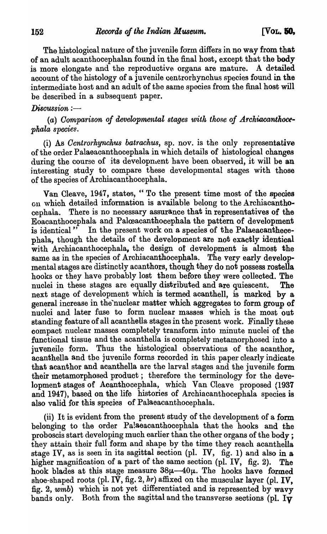The histological nature of the juvenile form differs in no way from that of an adult acanthocephalan found in the final host, except that the body is more elongate and the reproductive organs are mature. A detailed account of the histology of a juvenile centrorhynchus species found in the intermediate host and an adult of the same species from the final host will be described in a subsequent paper.

### $Disclusion :=$

(a) Comparison of developmental stages with those of Archiacanthoce*phala species.* 

(i) As *Ocntrorhynch'Us batrachus,* sp. nov. is the only representative of the order Palaeacanthocephala in which details of histological changes during the course of its development have been observed, it will be an interesting study to compare these deyelopmental stages with those of the species of Archiacanthocephala.

Van Cleave, 1947, states, "To the present time most of the species on which detailed information is available belong to the Archiacanthocephala. There is no necessary assurance that in representatives of the Eoacanthocephala and Palooacanthocephala the pattern of development is identical" In the present work on a species of the Palaeacanthecephala, though the details of the development are not exactly identical with Archiacanthocephala, the design of development is almost the same as in the species of Archiacanthocephala. The very early developmental stages are distinctly acanthors, though they do not possess rostella hooks or they have probably lost them before they were collected. The nuclei in these stages are equally distributed and are quiescent. The next stage of development which is termed acanthell, is marked by a general increase in the'nuclear matter which aggregates to form group of nuclei and later fuse to form nuclear masses which is the most out standing feature of all acanthella stages in the present work. Finally these compact nuclear masses completely transform into minute nuclei of the functional tissue and the acanthella is completely metamorphosed into a juveneile form. Thus the histological observations of the acanthor, acanthella and the juvenile forms recorded jn this paper clearly indicate that acanthor and acanthella are the larval stages and the juvenile form their metamorphosed product; therefore the terminology for the development stages of Acanthocephala, which Van Cleave proposed (1937 and 1947), based on the life histories of Archiacanthocephala species is also valid for this species of Palaeacanthocephala.

(ii) It is evident from the present study of the development of a form belonging to the order Palaeacanthocephala that the hooks and the proboscis start developing much earlier than the other organs of the body; they attain their full form and shape by the time they reach acanthella stage IV, as is seen in its sagittal section (pI. IV, fig. 1) and also in a higher magnification of a part of the same section (pl. IV,  $f$ ig. 2). The hook blades at this stage measure  $38\mu-40\mu$ . The hooks have formed shoe-shaped roots (pl. IV, fig. 2,  $hr$ ) affixed on the muscular layer (pl. IV, fig. 2,  $wmb$ ) which is not yet differentiated and is represented by wavy bands only. Both from the sagittal and the transverse sections (pl.  $I\bar{v}$ )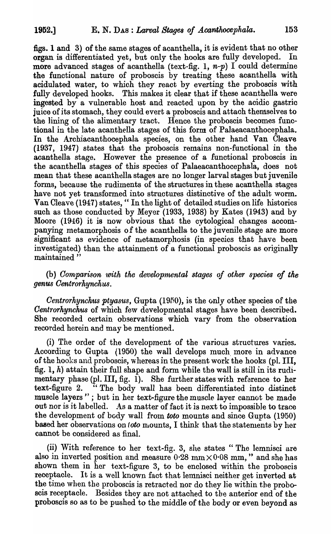figs. 1 and 3) of the same stages of acanthella, it is evident that no other organ is differentiated yet, but only the hooks are fully developed. more advanced stages of acanthella (text-fig. 1,  $n-p$ ) I could determine the functional nature of proboscis by treating these acanthella with acidulated water, to which they react by everting the probosois with fully developed hooks. This makes it clear that if these acanthella were ingested by a vulnerable host and reaoted upon by the acidic gastric juice of its stomach, they could evert a proboscis and attach themselves to the lining of the alimentary tract. Hence the proboscis becomes functional in the late acanthella stages of this form of Palaeacanthocephala. In the Archiacanthocephala species, on the other hand Van Cleave  $(1937, 1947)$  states that the proboscis remains non-functional in the acanthella stage. However the presence of a functional proboscis in the acanthella stages of this species of Palaeacanthocephala, does not mean that these acanthella stages are no longer larval stages but juvenile forms, because the rudiments of the structures in these acanthella stages have not yet transformed into structures distinctive of the adult worm. Van Cleave (1947) states, "In the light of detailed studies on life histories such as those conducted by Meyer (1933, 1938) by Kates (1943) and by Moore (1946) it is now obvious that the cytological changes accompanying metamorphosis of the acanthella to the juvenile stage are more significant as evidence of metamorphosis (in species that have been investigated) than the attainment of a functional proboscis as originally maintained "

(b) *Oomparison with the developrnental stages of other species of the genus Oentrorkynchus.* 

*Centrorhynchus ptyasus, Gupta (1950), is the only other species of the Centrorhynchus* of which few developmental stages have been described. She recorded certain observations which vary from the observation recorded herein and may be mentioned.

(i) The order of the development of the \7arious structures varies. According to Gupta (1950) the wall develops much more in advance of the hooks and proboscis, 'whereas in the present work the hooks (pI. III, fig. 1,  $h$ ) attain their full shape and form while the wall is still in its rudimentary phase (pl. III, fig. 1). She further states with reference to her text-figure 2. "The body wall has been differentiated into distinct <sup>7</sup> The body wall has been differentiated into distinct muscle layers" ; but in her text-figure the muscle layer cannot be made out nor is it labelled. As a matter of fact it is next to impossible to trace the development of body wall from toto mounts and since Gupta (1950) based her observations on *toto* mounts, I think that the statements by her cannot be considered as final.

(ii) With reference to her text-fig. 3, she states "The lemnisci are also in inverted position and measure  $0.28$  mm $\times 0.08$  mm," and she has shown them in her text-figure 3, to be enclosed within the proboscis receptacle. It is a well known fact that lemnisci neither get inverted at the time when the proboscis is retracted nor do they lie within the proboscis receptacle. Besides they are not attached to the anterior end of the proboscis so as to be pushed to the middle of the body or even beyond as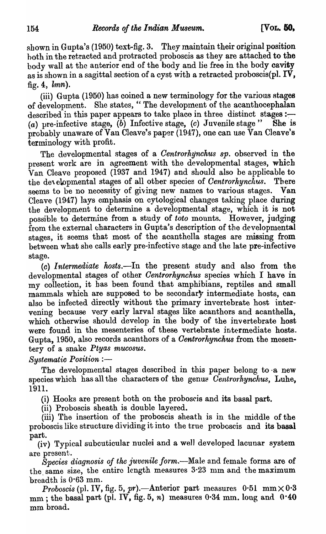shown in Gupta's (1950) text-fig. 3. They maintain their original position both in the retracted and protracted proboscis as they are attached to the body wall at the anterior end of the body and lie free in the body cavity as is shown in a sagittal section of a cyst with a retracted proboscis(pl.  $IV$ , fig. 4,  $lmn$ ).

(iii) Gupta (1950) has coined a new terminology for the various stages of development. She states, " The development of the acanthocephalan described in this paper appears to take place in three distinct stages: $-$ (a) pre-infective stage,  $(b)$  Infective stage, (c) Juvenile stage" She is probably unaware of Van Cleave's paper (1947), one can use Van Cleave's terminology with profit.

The developmental stages of a *Oentrorhynchus sp.* observed in the present work are in agreement with the developmental stages, which  $\bar{V}$ an Cleave proposed (1937 and 1947) and should also be applicable to the developmental stages of all other species of *Centrorhynchus*. There seems to be no necessity of giving new names to various stages. Van Cleave (1947) lays emphasis on cytological changes taking place during the development to determine a developmental stage, which it is not possible to determine from a study of *toto* mounts. However, judging from the external characters in Gupta's description of the developmental stages, it seems that most of the acanthella stages are missing from between what she calls early pre-infective stage and the late pre-infective stage.

(0) *Intermediate hosts.-In* the present study and also from the developmental stages of other *Oentrorhynehus* species which I have in my collection, it has been found that amphibians, reptiles and small mammals which are supposed to be secondary intermediate hosts, can also be infected directly without the primary invertebrate host intervening because very early larval stages like acanthors and acanthella, which otherwise should develop in the body of the invertebrate host were found in the mesenteries of these vertebrate intermediate hosts. Gupta, 1950, also records acanthors of a *Centrorhynchus* from the mesentery of a snake *Ptyas mueosus.* 

**Systematic Position :-**

The developmental stages described in this paper belong to·a new species which has all the characters of the genus *Centrorhynchus*, Luhe, 1911.

(i) Hooks are present both on the probosris and its basal part.

(ii) Proboscis sheath is double layered.

(iii) The insertion of the proboscis sheath is in the middle of the proboscis like structure dividing it into the true proboscis and its basal part.

(iv) Typical subcuticular nuclei and a we]] developed lacunar system are present.

*Species diagnosis of the :juvenile form.-Male* and female forms are of the same size, the entire length measures  $3-23$  mm and the maximum 'breadth is 0·63 mm.

*Proboscis* (pl. IV, fig. 5, pr).—Anterior part measures  $0.51$  mm $\times$  $0.3$  $r_{\text{mm}}$ ; the basal part (pl. IV, fig. 5, n) measures 0.34 mm. long and 0.40 mm broad.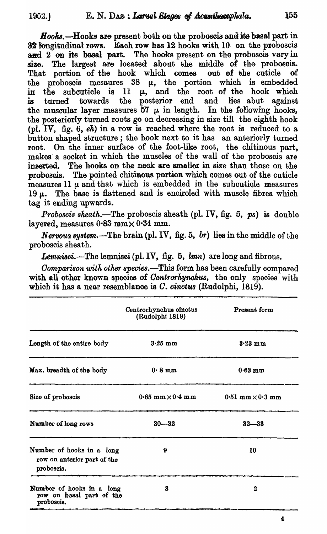$Hooks$ .—Hooks are present both on the proboscis and its basal part in 32 longitudinal rows. Each row has  $12$  hooks with  $10$  on the proboscis and 2 on its basal part. The hooks present on the proboscis vary in size. The largest are located about the middle of the probosois. That portion of the hook which comes out of the cuticle of the proboscis mesaures  $38 \mu$ , the portion which is embedded in the subcuticle is  $11 \mu$ , and the root of the hook which<br>is turned towards the posterior end and lies abut against is turned towards the posterior end and the muscular layer measures 57  $\mu$  in length. In the following hooks, the posteriorly turned roots go on decreasing in size till the eighth hook (pI. IV, fig. 6, *ek)* in a row is reached where the root is reduced to a button shaped structure; the hook next to it has an anteriorly turned root. On the inner surface of the foot-like root, the chitinous part, makes a socket in which the muscles of the wall of the proboscis are inserted. The hooks on the neck are smaller in size than those on the proboscis. The pointed chitinous portion which comes out of the cuticle measures 11  $\mu$  and that which is embedded in the suboutiole measures 19  $\mu$ . The base is flattened and is enciroled with muscle fibres which tag it ending upwards.

*Proboscis sheath.*—The proboscis sheath (pl. IV, fig. 5, ps) is double layered, measures  $0.83$  mm $\times 0.34$  mm.

*Nervous system.*—The brain (pl. IV, fig.  $5, br$ ) lies in the middle of the probosois sheath.

Lemnisci.-The lemnisci (pl. IV, fig. 5, lmn) are long and fibrous.

*Comparison with other species.*-This form has been carefully compared with all other known species of *Centrorhynohus*, the only species with which it has a near resemblance is C. *cinctus* (Rudolphi, 1819).

|                                                                        | Centrorhynchus cinctus<br>(Rudolphi 1819) | Present form              |
|------------------------------------------------------------------------|-------------------------------------------|---------------------------|
| Length of the entire body                                              | $3.25 \text{ mm}$                         | $3.23$ mm                 |
| Max. breadth of the body                                               | $0.8 \text{ mm}$                          | $0.63$ mm                 |
| Size of proboscis                                                      | $0.65$ mm $\times$ $0.4$ mm               | $0.51$ mm $\times 0.3$ mm |
| Number of long rows                                                    | $30 - 32$                                 | $32 - 33$                 |
| Number of hooks in a long<br>row on anterior part of the<br>proboscis. | 9                                         | 10                        |
| Number of hooks in a long<br>row on basal part of the<br>proboscis.    | 3                                         | 2                         |

4